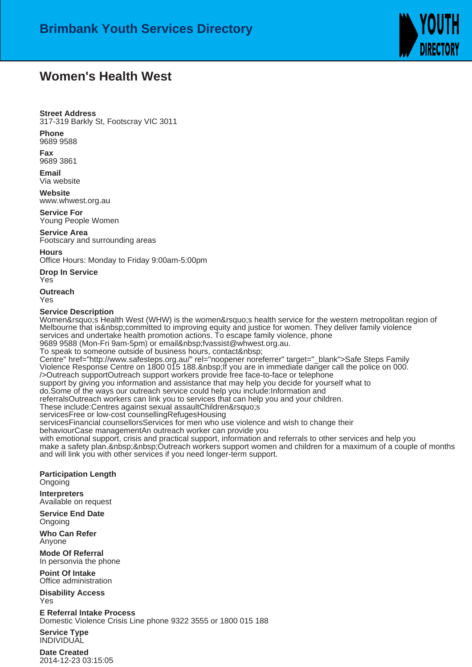

## **Women's Health West**

## **Street Address**

317-319 Barkly St, Footscray VIC 3011

**Phone** 9689 9588

**Fax** 9689 3861

**Email** Via website

**Website** www.whwest.org.au

**Service For** Young People Women

**Service Area** Footscary and surrounding areas

**Hours**

Office Hours: Monday to Friday 9:00am-5:00pm

**Drop In Service** Yes

**Outreach** Yes

## **Service Description**

Women&rsquo: SHealth West (WHW) is the women&rsquo: Shealth service for the western metropolitan region of Melbourne that is & nbsp; committed to improving equity and justice for women. They deliver family violence services and undertake health promotion actions. To escape family violence, phone

9689 9588 (Mon-Fri 9am-5pm) or email fvassist@whwest.org.au.

To speak to someone outside of business hours, contact Centre" href="http://www.safesteps.org.au/" rel="noopener noreferrer" target="\_blank">Safe Steps Family

Violence Response Centre on 1800 015 188. lf you are in immediate danger call the police on 000.

/> Outreach supportOutreach support workers provide free face-to-face or telephone

support by giving you information and assistance that may help you decide for yourself what to

do. Some of the ways our outreach service could help you include: Information and

referrals Outreach workers can link you to services that can help you and your children.

These include: Centres against sexual assault Children's

services Free or low-cost counselling Refuges Housing

services Financial counsellors Services for men who use violence and wish to change their

behaviour Case managementAn outreach worker can provide you

with emotional support, crisis and practical support, information and referrals to other services and help you make a safety plan. Outreach workers support women and children for a maximum of a couple of months and will link you with other services if you need longer-term support.

**Participation Length Ongoing** 

**Interpreters** Available on request

**Service End Date** Ongoing

**Who Can Refer** Anyone

**Mode Of Referral** In person via the phone

**Point Of Intake** Office administration

**Disability Access** Yes

**E Referral Intake Process** Domestic Violence Crisis Line phone 9322 3555 or 1800 015 188

**Service Type** INDIVIDUAL

**Date Created** 2014-12-23 03:15:05